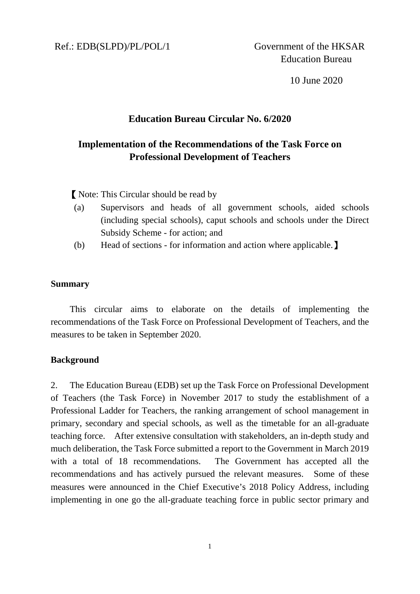10 June 2020

### **Education Bureau Circular No. 6/2020**

# **Implementation of the Recommendations of the Task Force on Professional Development of Teachers**

【Note: This Circular should be read by

- (a) Supervisors and heads of all government schools, aided schools (including special schools), caput schools and schools under the Direct Subsidy Scheme - for action; and
- (b) Head of sections for information and action where applicable.】

#### **Summary**

This circular aims to elaborate on the details of implementing the recommendations of the Task Force on Professional Development of Teachers, and the measures to be taken in September 2020.

#### **Background**

2. The Education Bureau (EDB) set up the Task Force on Professional Development of Teachers (the Task Force) in November 2017 to study the establishment of a Professional Ladder for Teachers, the ranking arrangement of school management in primary, secondary and special schools, as well as the timetable for an all-graduate teaching force. After extensive consultation with stakeholders, an in-depth study and much deliberation, the Task Force submitted a report to the Government in March 2019 with a total of 18 recommendations. The Government has accepted all the recommendations and has actively pursued the relevant measures. Some of these measures were announced in the Chief Executive's 2018 Policy Address, including implementing in one go the all-graduate teaching force in public sector primary and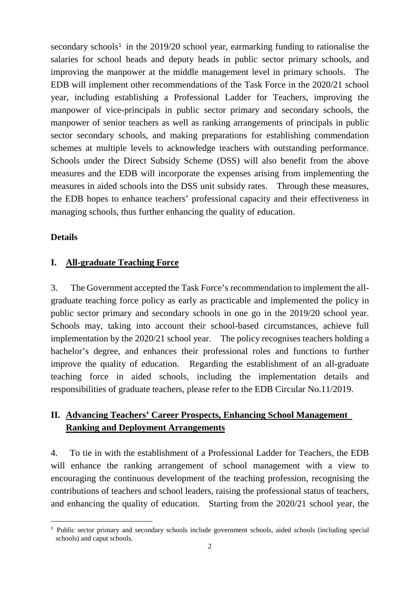secondary schools<sup>[1](#page-1-0)</sup> in the 2019/20 school year, earmarking funding to rationalise the salaries for school heads and deputy heads in public sector primary schools, and improving the manpower at the middle management level in primary schools. The EDB will implement other recommendations of the Task Force in the 2020/21 school year, including establishing a Professional Ladder for Teachers, improving the manpower of vice-principals in public sector primary and secondary schools, the manpower of senior teachers as well as ranking arrangements of principals in public sector secondary schools, and making preparations for establishing commendation schemes at multiple levels to acknowledge teachers with outstanding performance. Schools under the Direct Subsidy Scheme (DSS) will also benefit from the above measures and the EDB will incorporate the expenses arising from implementing the measures in aided schools into the DSS unit subsidy rates. Through these measures, the EDB hopes to enhance teachers' professional capacity and their effectiveness in managing schools, thus further enhancing the quality of education.

#### **Details**

#### **I. All-graduate Teaching Force**

3. The Government accepted the Task Force's recommendation to implement the allgraduate teaching force policy as early as practicable and implemented the policy in public sector primary and secondary schools in one go in the 2019/20 school year. Schools may, taking into account their school-based circumstances, achieve full implementation by the 2020/21 school year. The policy recognises teachers holding a bachelor's degree, and enhances their professional roles and functions to further improve the quality of education. Regarding the establishment of an all-graduate teaching force in aided schools, including the implementation details and responsibilities of graduate teachers, please refer to the EDB Circular No.11/2019.

# **II. Advancing Teachers' Career Prospects, Enhancing School Management Ranking and Deployment Arrangements**

4. To tie in with the establishment of a Professional Ladder for Teachers, the EDB will enhance the ranking arrangement of school management with a view to encouraging the continuous development of the teaching profession, recognising the contributions of teachers and school leaders, raising the professional status of teachers, and enhancing the quality of education. Starting from the 2020/21 school year, the

<span id="page-1-0"></span><sup>-&</sup>lt;br>1 <sup>1</sup> Public sector primary and secondary schools include government schools, aided schools (including special schools) and caput schools.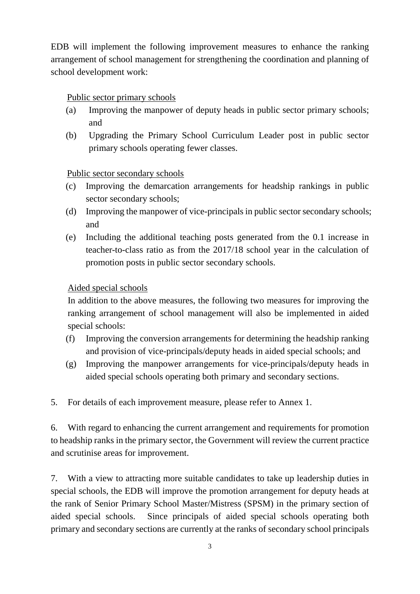EDB will implement the following improvement measures to enhance the ranking arrangement of school management for strengthening the coordination and planning of school development work:

# Public sector primary schools

- (a) Improving the manpower of deputy heads in public sector primary schools; and
- (b) Upgrading the Primary School Curriculum Leader post in public sector primary schools operating fewer classes.

# Public sector secondary schools

- (c) Improving the demarcation arrangements for headship rankings in public sector secondary schools;
- (d) Improving the manpower of vice-principals in public sector secondary schools; and
- (e) Including the additional teaching posts generated from the 0.1 increase in teacher-to-class ratio as from the 2017/18 school year in the calculation of promotion posts in public sector secondary schools.

# Aided special schools

In addition to the above measures, the following two measures for improving the ranking arrangement of school management will also be implemented in aided special schools:

- (f) Improving the conversion arrangements for determining the headship ranking and provision of vice-principals/deputy heads in aided special schools; and
- (g) Improving the manpower arrangements for vice-principals/deputy heads in aided special schools operating both primary and secondary sections.
- 5. For details of each improvement measure, please refer to Annex 1.

6. With regard to enhancing the current arrangement and requirements for promotion to headship ranks in the primary sector, the Government will review the current practice and scrutinise areas for improvement.

7. With a view to attracting more suitable candidates to take up leadership duties in special schools, the EDB will improve the promotion arrangement for deputy heads at the rank of Senior Primary School Master/Mistress (SPSM) in the primary section of aided special schools. Since principals of aided special schools operating both primary and secondary sections are currently at the ranks of secondary school principals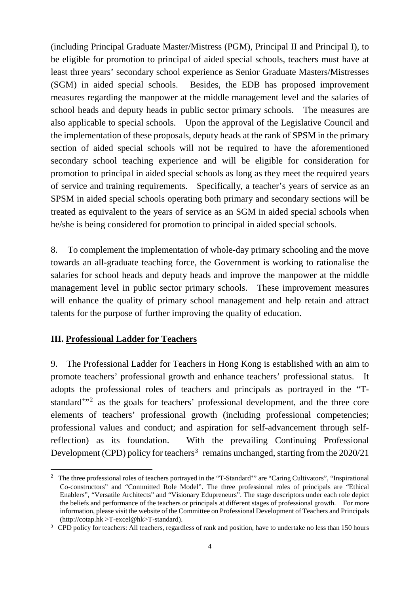(including Principal Graduate Master/Mistress (PGM), Principal II and Principal I), to be eligible for promotion to principal of aided special schools, teachers must have at least three years' secondary school experience as Senior Graduate Masters/Mistresses (SGM) in aided special schools. Besides, the EDB has proposed improvement measures regarding the manpower at the middle management level and the salaries of school heads and deputy heads in public sector primary schools. The measures are also applicable to special schools. Upon the approval of the Legislative Council and the implementation of these proposals, deputy heads at the rank of SPSM in the primary section of aided special schools will not be required to have the aforementioned secondary school teaching experience and will be eligible for consideration for promotion to principal in aided special schools as long as they meet the required years of service and training requirements. Specifically, a teacher's years of service as an SPSM in aided special schools operating both primary and secondary sections will be treated as equivalent to the years of service as an SGM in aided special schools when he/she is being considered for promotion to principal in aided special schools.

8. To complement the implementation of whole-day primary schooling and the move towards an all-graduate teaching force, the Government is working to rationalise the salaries for school heads and deputy heads and improve the manpower at the middle management level in public sector primary schools. These improvement measures will enhance the quality of primary school management and help retain and attract talents for the purpose of further improving the quality of education.

## **III. Professional Ladder for Teachers**

9. The Professional Ladder for Teachers in Hong Kong is established with an aim to promote teachers' professional growth and enhance teachers' professional status. It adopts the professional roles of teachers and principals as portrayed in the "T-standard<sup>+"[2](#page-3-0)</sup> as the goals for teachers' professional development, and the three core elements of teachers' professional growth (including professional competencies; professional values and conduct; and aspiration for self-advancement through selfreflection) as its foundation. With the prevailing Continuing Professional Development (CPD) policy for teachers<sup>[3](#page-3-1)</sup> remains unchanged, starting from the  $2020/21$ 

<span id="page-3-0"></span><sup>&</sup>lt;sup>2</sup> The three professional roles of teachers portrayed in the "T-Standard<sup>+</sup>" are "Caring Cultivators", "Inspirational Co-constructors" and "Committed Role Model". The three professional roles of principals are "Ethical Enablers", "Versatile Architects" and "Visionary Edupreneurs". The stage descriptors under each role depict the beliefs and performance of the teachers or principals at different stages of professional growth. For more information, please visit the website of the Committee on Professional Development of Teachers and Principals (http://cotap.hk >T-excel@hk>T-standard).

<span id="page-3-1"></span><sup>&</sup>lt;sup>3</sup> CPD policy for teachers: All teachers, regardless of rank and position, have to undertake no less than 150 hours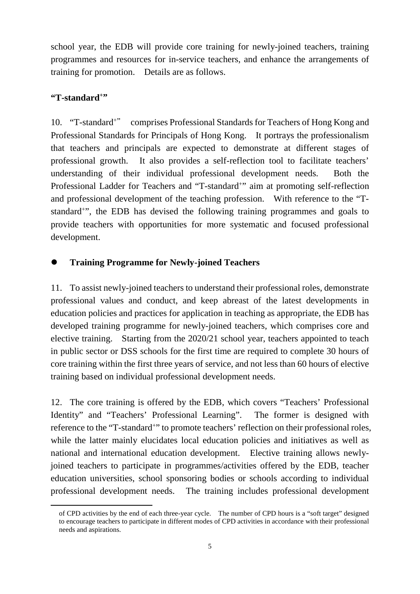school year, the EDB will provide core training for newly-joined teachers, training programmes and resources for in-service teachers, and enhance the arrangements of training for promotion. Details are as follows.

## **"T-standard+"**

1

10. "T-standard+" comprises Professional Standards for Teachers of Hong Kong and Professional Standards for Principals of Hong Kong. It portrays the professionalism that teachers and principals are expected to demonstrate at different stages of professional growth. It also provides a self-reflection tool to facilitate teachers' understanding of their individual professional development needs. Both the Professional Ladder for Teachers and "T-standard<sup>+</sup>" aim at promoting self-reflection and professional development of the teaching profession. With reference to the "Tstandard+", the EDB has devised the following training programmes and goals to provide teachers with opportunities for more systematic and focused professional development.

## **Training Programme for Newly-joined Teachers**

11. To assist newly-joined teachers to understand their professional roles, demonstrate professional values and conduct, and keep abreast of the latest developments in education policies and practices for application in teaching as appropriate, the EDB has developed training programme for newly-joined teachers, which comprises core and elective training. Starting from the 2020/21 school year, teachers appointed to teach in public sector or DSS schools for the first time are required to complete 30 hours of core training within the first three years of service, and not less than 60 hours of elective training based on individual professional development needs.

12. The core training is offered by the EDB, which covers "Teachers' Professional Identity" and "Teachers' Professional Learning". The former is designed with reference to the "T-standard<sup>+</sup>" to promote teachers' reflection on their professional roles, while the latter mainly elucidates local education policies and initiatives as well as national and international education development. Elective training allows newlyjoined teachers to participate in programmes/activities offered by the EDB, teacher education universities, school sponsoring bodies or schools according to individual professional development needs. The training includes professional development

of CPD activities by the end of each three-year cycle. The number of CPD hours is a "soft target" designed to encourage teachers to participate in different modes of CPD activities in accordance with their professional needs and aspirations.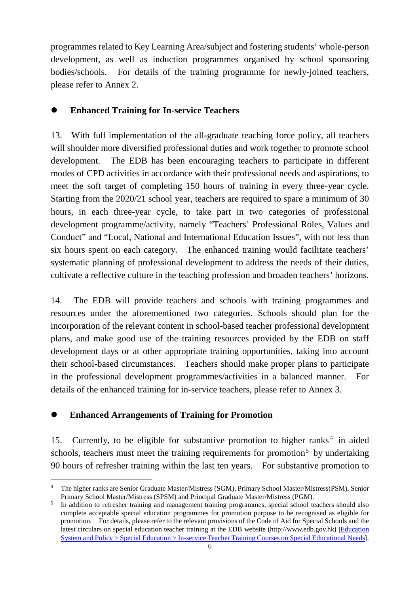programmes related to Key Learning Area/subject and fostering students' whole-person development, as well as induction programmes organised by school sponsoring bodies/schools. For details of the training programme for newly-joined teachers, please refer to Annex 2.

### **Enhanced Training for In-service Teachers**

13. With full implementation of the all-graduate teaching force policy, all teachers will shoulder more diversified professional duties and work together to promote school development. The EDB has been encouraging teachers to participate in different modes of CPD activities in accordance with their professional needs and aspirations, to meet the soft target of completing 150 hours of training in every three-year cycle. Starting from the 2020/21 school year, teachers are required to spare a minimum of 30 hours, in each three-year cycle, to take part in two categories of professional development programme/activity, namely "Teachers' Professional Roles, Values and Conduct" and "Local, National and International Education Issues", with not less than six hours spent on each category. The enhanced training would facilitate teachers' systematic planning of professional development to address the needs of their duties, cultivate a reflective culture in the teaching profession and broaden teachers' horizons.

14. The EDB will provide teachers and schools with training programmes and resources under the aforementioned two categories. Schools should plan for the incorporation of the relevant content in school-based teacher professional development plans, and make good use of the training resources provided by the EDB on staff development days or at other appropriate training opportunities, taking into account their school-based circumstances. Teachers should make proper plans to participate in the professional development programmes/activities in a balanced manner. For details of the enhanced training for in-service teachers, please refer to Annex 3.

#### **Enhanced Arrangements of Training for Promotion**

15. Currently, to be eligible for substantive promotion to higher ranks<sup>[4](#page-5-0)</sup> in aided schools, teachers must meet the training requirements for promotion<sup>[5](#page-5-1)</sup> by undertaking 90 hours of refresher training within the last ten years. For substantive promotion to

<span id="page-5-0"></span> <sup>4</sup> The higher ranks are Senior Graduate Master/Mistress (SGM), Primary School Master/Mistress(PSM), Senior Primary School Master/Mistress (SPSM) and Principal Graduate Master/Mistress (PGM).

<span id="page-5-1"></span><sup>5</sup> In addition to refresher training and management training programmes, special school teachers should also complete acceptable special education programmes for promotion purpose to be recognised as eligible for promotion. For details, please refer to the relevant provisions of the Code of Aid for Special Schools and the latest circulars on special education teacher training at the EDB website [\(http://www.edb.gov.hk](http://www.edb.gov.hk/)) [[Education](https://www.edb.gov.hk/en/edu-system/special/sen-training/index.html)  [System and Policy > Special Education > In-service Teacher Training Courses on Special Educational Needs](https://www.edb.gov.hk/en/edu-system/special/sen-training/index.html)].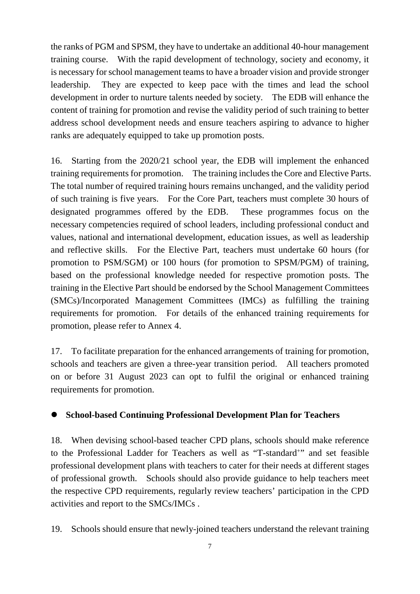the ranks of PGM and SPSM, they have to undertake an additional 40-hour management training course. With the rapid development of technology, society and economy, it is necessary for school management teams to have a broader vision and provide stronger leadership. They are expected to keep pace with the times and lead the school development in order to nurture talents needed by society. The EDB will enhance the content of training for promotion and revise the validity period of such training to better address school development needs and ensure teachers aspiring to advance to higher ranks are adequately equipped to take up promotion posts.

16. Starting from the 2020/21 school year, the EDB will implement the enhanced training requirements for promotion. The training includes the Core and Elective Parts. The total number of required training hours remains unchanged, and the validity period of such training is five years. For the Core Part, teachers must complete 30 hours of designated programmes offered by the EDB. These programmes focus on the necessary competencies required of school leaders, including professional conduct and values, national and international development, education issues, as well as leadership and reflective skills. For the Elective Part, teachers must undertake 60 hours (for promotion to PSM/SGM) or 100 hours (for promotion to SPSM/PGM) of training, based on the professional knowledge needed for respective promotion posts. The training in the Elective Part should be endorsed by the School Management Committees (SMCs)/Incorporated Management Committees (IMCs) as fulfilling the training requirements for promotion. For details of the enhanced training requirements for promotion, please refer to Annex 4.

17. To facilitate preparation for the enhanced arrangements of training for promotion, schools and teachers are given a three-year transition period. All teachers promoted on or before 31 August 2023 can opt to fulfil the original or enhanced training requirements for promotion.

## **School-based Continuing Professional Development Plan for Teachers**

18. When devising school-based teacher CPD plans, schools should make reference to the Professional Ladder for Teachers as well as "T-standard<sup>+</sup>" and set feasible professional development plans with teachers to cater for their needs at different stages of professional growth. Schools should also provide guidance to help teachers meet the respective CPD requirements, regularly review teachers' participation in the CPD activities and report to the SMCs/IMCs .

19. Schools should ensure that newly-joined teachers understand the relevant training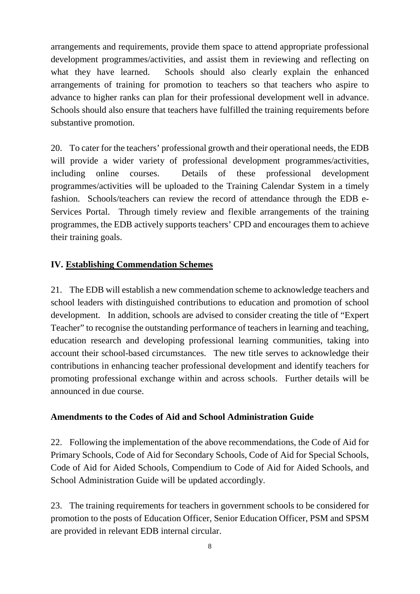arrangements and requirements, provide them space to attend appropriate professional development programmes/activities, and assist them in reviewing and reflecting on what they have learned. Schools should also clearly explain the enhanced arrangements of training for promotion to teachers so that teachers who aspire to advance to higher ranks can plan for their professional development well in advance. Schools should also ensure that teachers have fulfilled the training requirements before substantive promotion.

20. To cater for the teachers' professional growth and their operational needs, the EDB will provide a wider variety of professional development programmes/activities, including online courses. Details of these professional development programmes/activities will be uploaded to the Training Calendar System in a timely fashion. Schools/teachers can review the record of attendance through the EDB e-Services Portal. Through timely review and flexible arrangements of the training programmes, the EDB actively supports teachers' CPD and encourages them to achieve their training goals.

## **IV. Establishing Commendation Schemes**

21. The EDB will establish a new commendation scheme to acknowledge teachers and school leaders with distinguished contributions to education and promotion of school development. In addition, schools are advised to consider creating the title of "Expert Teacher" to recognise the outstanding performance of teachers in learning and teaching, education research and developing professional learning communities, taking into account their school-based circumstances. The new title serves to acknowledge their contributions in enhancing teacher professional development and identify teachers for promoting professional exchange within and across schools. Further details will be announced in due course.

#### **Amendments to the Codes of Aid and School Administration Guide**

22. Following the implementation of the above recommendations, the Code of Aid for Primary Schools, Code of Aid for Secondary Schools, Code of Aid for Special Schools, Code of Aid for Aided Schools, Compendium to Code of Aid for Aided Schools, and School Administration Guide will be updated accordingly.

23. The training requirements for teachers in government schools to be considered for promotion to the posts of Education Officer, Senior Education Officer, PSM and SPSM are provided in relevant EDB internal circular.